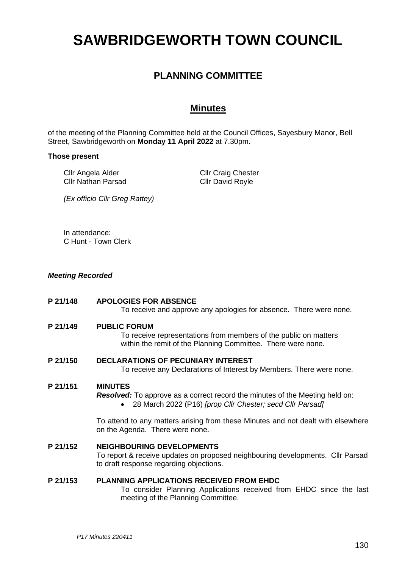# **SAWBRIDGEWORTH TOWN COUNCIL**

## **PLANNING COMMITTEE**

### **Minutes**

of the meeting of the Planning Committee held at the Council Offices, Sayesbury Manor, Bell Street, Sawbridgeworth on **Monday 11 April 2022** at 7.30pm**.**

#### **Those present**

Cllr Angela Alder Cllr Nathan Parsad Cllr Craig Chester Cllr David Royle

*(Ex officio Cllr Greg Rattey)*

In attendance: C Hunt - Town Clerk

#### *Meeting Recorded*

**P 21/148 APOLOGIES FOR ABSENCE**

To receive and approve any apologies for absence. There were none.

**P 21/149 PUBLIC FORUM**

To receive representations from members of the public on matters within the remit of the Planning Committee. There were none.

**P 21/150 DECLARATIONS OF PECUNIARY INTEREST**

To receive any Declarations of Interest by Members. There were none.

#### **P 21/151 MINUTES**

*Resolved:* To approve as a correct record the minutes of the Meeting held on:

• 28 March 2022 (P16) *[prop Cllr Chester; secd Cllr Parsad]*

To attend to any matters arising from these Minutes and not dealt with elsewhere on the Agenda. There were none.

#### **P 21/152 NEIGHBOURING DEVELOPMENTS**

To report & receive updates on proposed neighbouring developments. Cllr Parsad to draft response regarding objections.

#### **P 21/153 PLANNING APPLICATIONS RECEIVED FROM EHDC**

To consider Planning Applications received from EHDC since the last meeting of the Planning Committee.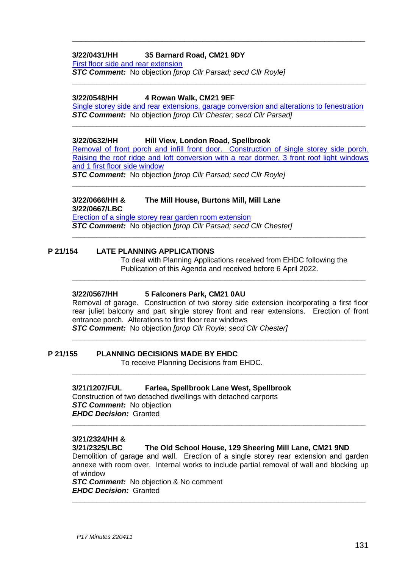#### **3/22/0431/HH 35 Barnard Road, CM21 9DY**

[First floor side and rear extension](https://publicaccess.eastherts.gov.uk/online-applications/applicationDetails.do?activeTab=documents&keyVal=R7UP34GLJOB00)

*STC Comment:* No objection *[prop Cllr Parsad; secd Cllr Royle]*

#### **3/22/0548/HH 4 Rowan Walk, CM21 9EF**

Single storey side and [rear extensions, garage conversion and alterations to fenestration](https://publicaccess.eastherts.gov.uk/online-applications/applicationDetails.do?activeTab=documents&keyVal=R8QHFUGLJXM00) *STC Comment:* No objection *[prop Cllr Chester; secd Cllr Parsad]* **\_\_\_\_\_\_\_\_\_\_\_\_\_\_\_\_\_\_\_\_\_\_\_\_\_\_\_\_\_\_\_\_\_\_\_\_\_\_\_\_\_\_\_\_\_\_\_\_\_\_\_\_\_\_\_\_\_\_\_\_\_\_\_\_\_\_\_\_\_\_\_**

**\_\_\_\_\_\_\_\_\_\_\_\_\_\_\_\_\_\_\_\_\_\_\_\_\_\_\_\_\_\_\_\_\_\_\_\_\_\_\_\_\_\_\_\_\_\_\_\_\_\_\_\_\_\_\_\_\_\_\_\_\_\_\_\_\_\_\_\_\_\_\_**

**\_\_\_\_\_\_\_\_\_\_\_\_\_\_\_\_\_\_\_\_\_\_\_\_\_\_\_\_\_\_\_\_\_\_\_\_\_\_\_\_\_\_\_\_\_\_\_\_\_\_\_\_\_\_\_\_\_\_\_\_\_\_\_\_\_**

#### **3/22/0632/HH Hill View, London Road, Spellbrook**

[Removal of front porch and infill front door. Construction of single storey side porch.](https://publicaccess.eastherts.gov.uk/online-applications/applicationDetails.do?activeTab=documents&keyVal=R99038GLK3I00)  [Raising the roof ridge and loft conversion with a rear dormer, 3 front roof light windows](https://publicaccess.eastherts.gov.uk/online-applications/applicationDetails.do?activeTab=documents&keyVal=R99038GLK3I00)  [and 1 first floor](https://publicaccess.eastherts.gov.uk/online-applications/applicationDetails.do?activeTab=documents&keyVal=R99038GLK3I00) side window

**\_\_\_\_\_\_\_\_\_\_\_\_\_\_\_\_\_\_\_\_\_\_\_\_\_\_\_\_\_\_\_\_\_\_\_\_\_\_\_\_\_\_\_\_\_\_\_\_\_\_\_\_\_\_\_\_\_\_\_\_\_\_\_\_\_\_\_\_\_\_\_**

**\_\_\_\_\_\_\_\_\_\_\_\_\_\_\_\_\_\_\_\_\_\_\_\_\_\_\_\_\_\_\_\_\_\_\_\_\_\_\_\_\_\_\_\_\_\_\_\_\_\_\_\_\_\_\_\_\_\_\_\_\_\_\_\_\_\_\_\_\_\_\_**

**\_\_\_\_\_\_\_\_\_\_\_\_\_\_\_\_\_\_\_\_\_\_\_\_\_\_\_\_\_\_\_\_\_\_\_\_\_\_\_\_\_\_\_\_\_\_\_\_\_\_\_\_\_\_\_\_\_\_\_\_\_\_\_\_\_\_\_\_\_\_\_**

*STC Comment:* No objection *[prop Cllr Parsad; secd Cllr Royle]*

## **3/22/0666/HH & The Mill House, Burtons Mill, Mill Lane**

**3/22/0667/LBC** [Erection of a single storey rear garden room extension](https://publicaccess.eastherts.gov.uk/online-applications/applicationDetails.do?activeTab=documents&keyVal=R9GN3KGLK5J00) *STC Comment:* No objection *[prop Cllr Parsad; secd Cllr Chester]*

#### **P 21/154 LATE PLANNING APPLICATIONS**

To deal with Planning Applications received from EHDC following the Publication of this Agenda and received before 6 April 2022.

#### **3/22/0567/HH 5 Falconers Park, CM21 0AU**

Removal of garage. Construction of two storey side extension incorporating a first floor rear juliet balcony and part single storey front and rear extensions. Erection of front entrance porch. Alterations to first floor rear windows

**\_\_\_\_\_\_\_\_\_\_\_\_\_\_\_\_\_\_\_\_\_\_\_\_\_\_\_\_\_\_\_\_\_\_\_\_\_\_\_\_\_\_\_\_\_\_\_\_\_\_\_\_\_\_\_\_\_\_\_\_\_\_\_\_\_\_\_\_\_\_\_**

**\_\_\_\_\_\_\_\_\_\_\_\_\_\_\_\_\_\_\_\_\_\_\_\_\_\_\_\_\_\_\_\_\_\_\_\_\_\_\_\_\_\_\_\_\_\_\_\_\_\_\_\_\_\_\_\_\_\_\_\_\_\_\_\_\_\_\_\_\_\_\_**

*STC Comment:* No objection *[prop Cllr Royle; secd Cllr Chester]*

#### **P 21/155 PLANNING DECISIONS MADE BY EHDC**

To receive Planning Decisions from EHDC.

#### **3/21/1207/FUL Farlea, Spellbrook Lane West, Spellbrook**

Construction of two detached dwellings with detached carports *STC Comment:* No objection *EHDC Decision:* Granted **\_\_\_\_\_\_\_\_\_\_\_\_\_\_\_\_\_\_\_\_\_\_\_\_\_\_\_\_\_\_\_\_\_\_\_\_\_\_\_\_\_\_\_\_\_\_\_\_\_\_\_\_\_\_\_\_\_\_\_\_\_\_\_\_\_\_\_\_\_\_\_**

#### **3/21/2324/HH &**

**3/21/2325/LBC The Old School House, 129 Sheering Mill Lane, CM21 9ND**

Demolition of garage and wall. Erection of a single storey rear extension and garden annexe with room over. Internal works to include partial removal of wall and blocking up of window

*STC Comment:* No objection & No comment *EHDC Decision:* Granted **\_\_\_\_\_\_\_\_\_\_\_\_\_\_\_\_\_\_\_\_\_\_\_\_\_\_\_\_\_\_\_\_\_\_\_\_\_\_\_\_\_\_\_\_\_\_\_\_\_\_\_\_\_\_\_\_\_\_\_\_\_\_\_\_\_\_\_\_\_\_\_**